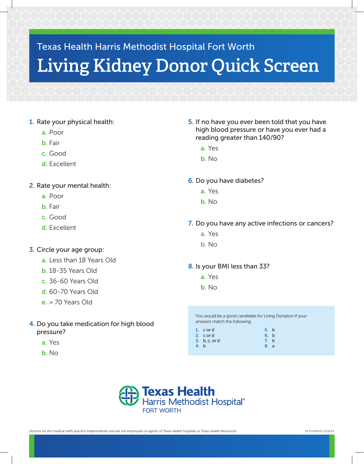# **Living Kidney Donor Quick Screen** Texas Health Harris Methodist Hospital Fort Worth

#### 1. Rate your physical health:

- a. Poor
- b. Fair
- c. Good
- d. Excellent

#### 2. Rate your mental health:

- a. Poor
- b. Fair
- c. Good
- d. Excellent

### 3. Circle your age group:

- a. Less than 18 Years Old
- b. 18-35 Years Old
- c. 36-60 Years Old
- d. 60-70 Years Old
- e. > 70 Years Old
- 4. Do you take medication for high blood pressure?
	- a. Yes
	- b. No

## 5. If no have you ever been told that you have high blood pressure or have you ever had a reading greater than 140/90?

- a. Yes
- b. No
- 6. Do you have diabetes?
	- a. Yes
	- b. No
- 7. Do you have any active infections or cancers?
	- a. Yes
	- b. No

#### 8. Is your BMI less than 33?

- a. Yes
- b. No

You would be a good candidate for Living Donation if your answers match the following:

|    | 1. cord             | 5.   | h            |
|----|---------------------|------|--------------|
|    | 2. cord             | 6. b |              |
|    | <b>3.</b> b.c. or d | 7. b |              |
| 4. | h                   | 8.   | <sub>a</sub> |